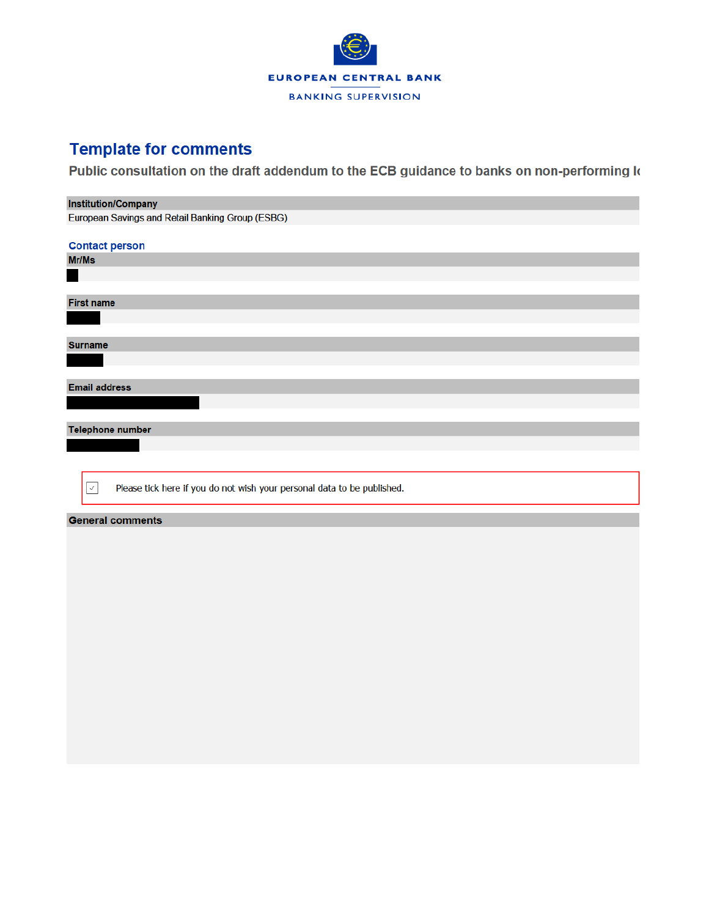

## **Template for comments**

Public consultation on the draft addendum to the ECB guidance to banks on non-performing k

| <b>Institution/Company</b>                                                               |
|------------------------------------------------------------------------------------------|
| European Savings and Retail Banking Group (ESBG)                                         |
|                                                                                          |
| <b>Contact person</b>                                                                    |
| Mr/Ms                                                                                    |
|                                                                                          |
|                                                                                          |
| <b>First name</b>                                                                        |
|                                                                                          |
|                                                                                          |
|                                                                                          |
| <b>Surname</b>                                                                           |
|                                                                                          |
|                                                                                          |
| <b>Email address</b>                                                                     |
|                                                                                          |
|                                                                                          |
| <b>Telephone number</b>                                                                  |
|                                                                                          |
|                                                                                          |
|                                                                                          |
|                                                                                          |
| Please tick here if you do not wish your personal data to be published.<br>$\mathcal{J}$ |
|                                                                                          |
| <b>General comments</b>                                                                  |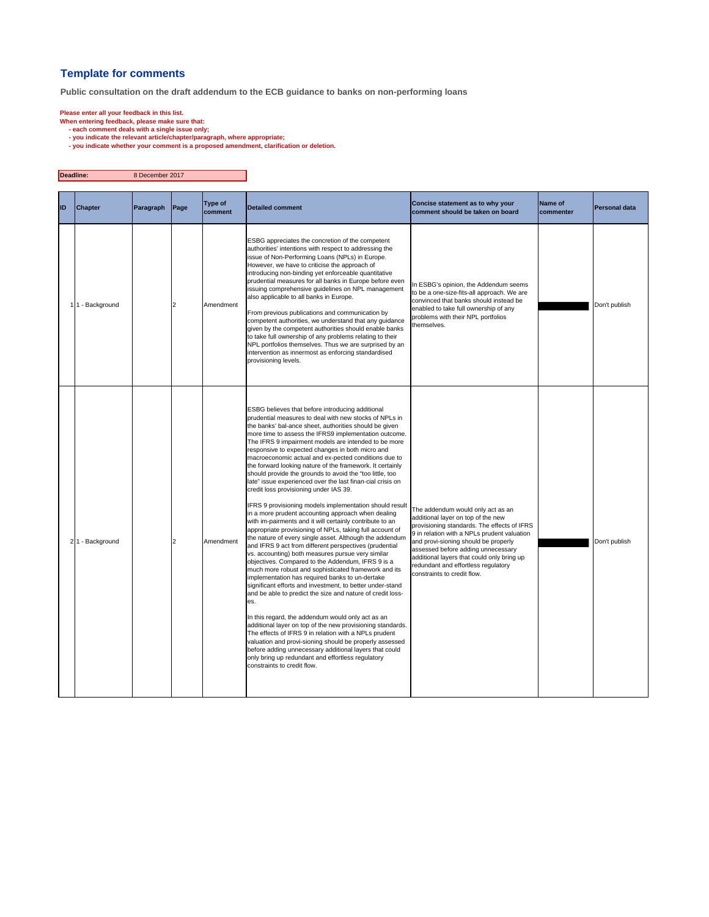## **Template for comments**

**Public consultation on the draft addendum to the ECB guidance to banks on non-performing loans**

- 
- 
- Please enter all your feedback in this list.<br>When entering feedback, please make sure that:<br>- each comment deals with a single issue only;<br>you indicate the relevant atticle/chapter/paragraph, where appropriate;<br>- you indic

| Deadline: |                  | 8 December 2017 |                |                    |                                                                                                                                                                                                                                                                                                                                                                                                                                                                                                                                                                                                                                                                                                                                                                                                                                                                                                                                                                                                                                                                                                                                                                                                                                                                                                                                                                                                                                                                                                                                                                                                                                                                                                                                              |                                                                                                                                                                                                                                                                                                                                                                         |                      |               |
|-----------|------------------|-----------------|----------------|--------------------|----------------------------------------------------------------------------------------------------------------------------------------------------------------------------------------------------------------------------------------------------------------------------------------------------------------------------------------------------------------------------------------------------------------------------------------------------------------------------------------------------------------------------------------------------------------------------------------------------------------------------------------------------------------------------------------------------------------------------------------------------------------------------------------------------------------------------------------------------------------------------------------------------------------------------------------------------------------------------------------------------------------------------------------------------------------------------------------------------------------------------------------------------------------------------------------------------------------------------------------------------------------------------------------------------------------------------------------------------------------------------------------------------------------------------------------------------------------------------------------------------------------------------------------------------------------------------------------------------------------------------------------------------------------------------------------------------------------------------------------------|-------------------------------------------------------------------------------------------------------------------------------------------------------------------------------------------------------------------------------------------------------------------------------------------------------------------------------------------------------------------------|----------------------|---------------|
| ID        | <b>Chapter</b>   | Paragraph       | Page           | Type of<br>comment | <b>Detailed comment</b>                                                                                                                                                                                                                                                                                                                                                                                                                                                                                                                                                                                                                                                                                                                                                                                                                                                                                                                                                                                                                                                                                                                                                                                                                                                                                                                                                                                                                                                                                                                                                                                                                                                                                                                      | Concise statement as to why your<br>comment should be taken on board                                                                                                                                                                                                                                                                                                    | Name of<br>commenter | Personal data |
|           | 1 1 - Background |                 | $\overline{2}$ | Amendment          | ESBG appreciates the concretion of the competent<br>authorities' intentions with respect to addressing the<br>issue of Non-Performing Loans (NPLs) in Europe.<br>However, we have to criticise the approach of<br>introducing non-binding yet enforceable quantitative<br>prudential measures for all banks in Europe before even<br>issuing comprehensive guidelines on NPL management<br>also applicable to all banks in Europe.<br>From previous publications and communication by<br>competent authorities, we understand that any guidance<br>given by the competent authorities should enable banks<br>to take full ownership of any problems relating to their<br>NPL portfolios themselves. Thus we are surprised by an<br>intervention as innermost as enforcing standardised<br>provisioning levels.                                                                                                                                                                                                                                                                                                                                                                                                                                                                                                                                                                                                                                                                                                                                                                                                                                                                                                                               | In ESBG's opinion, the Addendum seems<br>to be a one-size-fits-all approach. We are<br>convinced that banks should instead be<br>enabled to take full ownership of any<br>problems with their NPL portfolios<br>themselves.                                                                                                                                             |                      | Don't publish |
|           | 21 - Background  |                 | $\overline{2}$ | Amendment          | ESBG believes that before introducing additional<br>prudential measures to deal with new stocks of NPLs in<br>the banks' bal-ance sheet, authorities should be given<br>more time to assess the IFRS9 implementation outcome.<br>The IFRS 9 impairment models are intended to be more<br>responsive to expected changes in both micro and<br>macroeconomic actual and ex-pected conditions due to<br>the forward looking nature of the framework. It certainly<br>should provide the grounds to avoid the "too little, too<br>late" issue experienced over the last finan-cial crisis on<br>credit loss provisioning under IAS 39.<br>IFRS 9 provisioning models implementation should result<br>in a more prudent accounting approach when dealing<br>with im-pairments and it will certainly contribute to an<br>appropriate provisioning of NPLs, taking full account of<br>the nature of every single asset. Although the addendum<br>and IFRS 9 act from different perspectives (prudential<br>vs. accounting) both measures pursue very similar<br>objectives. Compared to the Addendum, IFRS 9 is a<br>much more robust and sophisticated framework and its<br>implementation has required banks to un-dertake<br>significant efforts and investment, to better under-stand<br>and be able to predict the size and nature of credit loss-<br>es.<br>In this regard, the addendum would only act as an<br>additional layer on top of the new provisioning standards.<br>The effects of IFRS 9 in relation with a NPLs prudent<br>valuation and provi-sioning should be properly assessed<br>before adding unnecessary additional layers that could<br>only bring up redundant and effortless regulatory<br>constraints to credit flow. | The addendum would only act as an<br>additional layer on top of the new<br>provisioning standards. The effects of IFRS<br>9 in relation with a NPLs prudent valuation<br>and provi-sioning should be properly<br>assessed before adding unnecessary<br>additional layers that could only bring up<br>redundant and effortless regulatory<br>constraints to credit flow. |                      | Don't publish |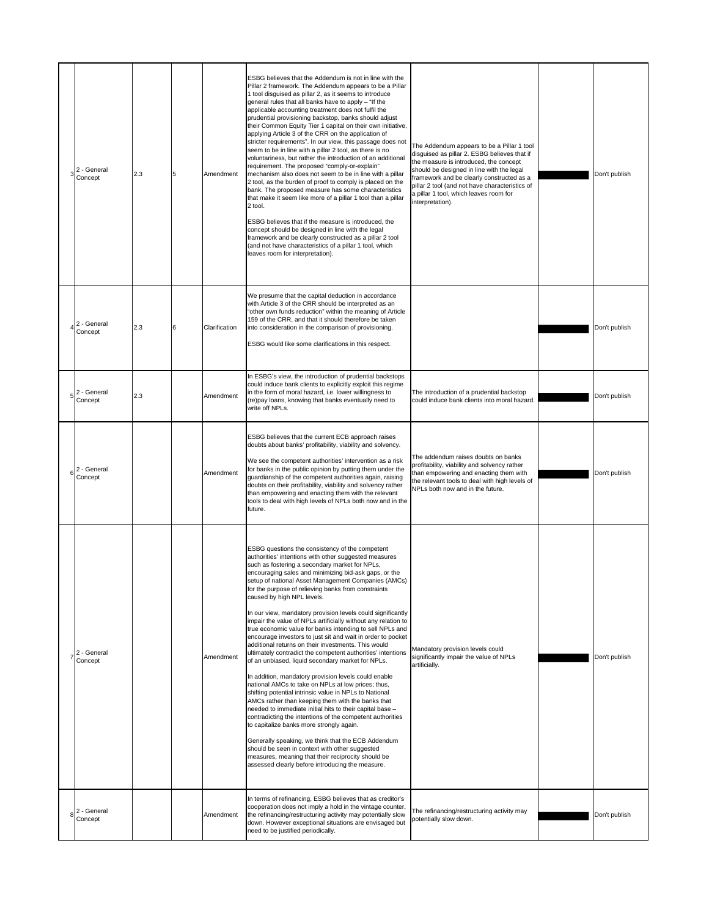| $3^2$ - General<br>Concept | 2.3 | 5 | Amendment     | ESBG believes that the Addendum is not in line with the<br>Pillar 2 framework. The Addendum appears to be a Pillar<br>1 tool disquised as pillar 2, as it seems to introduce<br>general rules that all banks have to apply - "If the<br>applicable accounting treatment does not fulfil the<br>prudential provisioning backstop, banks should adjust<br>their Common Equity Tier 1 capital on their own initiative,<br>applying Article 3 of the CRR on the application of<br>stricter requirements". In our view, this passage does not<br>seem to be in line with a pillar 2 tool, as there is no<br>voluntariness, but rather the introduction of an additional<br>requirement. The proposed "comply-or-explain"<br>mechanism also does not seem to be in line with a pillar<br>2 tool, as the burden of proof to comply is placed on the<br>bank. The proposed measure has some characteristics<br>that make it seem like more of a pillar 1 tool than a pillar<br>2 tool.<br>ESBG believes that if the measure is introduced, the<br>concept should be designed in line with the legal<br>framework and be clearly constructed as a pillar 2 tool<br>(and not have characteristics of a pillar 1 tool, which<br>leaves room for interpretation).                                                                                                                                                                     | The Addendum appears to be a Pillar 1 tool<br>disguised as pillar 2. ESBG believes that if<br>the measure is introduced, the concept<br>should be designed in line with the legal<br>framework and be clearly constructed as a<br>pillar 2 tool (and not have characteristics of<br>a pillar 1 tool, which leaves room for<br>interpretation). | Don't publish |
|----------------------------|-----|---|---------------|---------------------------------------------------------------------------------------------------------------------------------------------------------------------------------------------------------------------------------------------------------------------------------------------------------------------------------------------------------------------------------------------------------------------------------------------------------------------------------------------------------------------------------------------------------------------------------------------------------------------------------------------------------------------------------------------------------------------------------------------------------------------------------------------------------------------------------------------------------------------------------------------------------------------------------------------------------------------------------------------------------------------------------------------------------------------------------------------------------------------------------------------------------------------------------------------------------------------------------------------------------------------------------------------------------------------------------------------------------------------------------------------------------------------------|------------------------------------------------------------------------------------------------------------------------------------------------------------------------------------------------------------------------------------------------------------------------------------------------------------------------------------------------|---------------|
| 2 - General<br>Concept     | 2.3 | 6 | Clarification | We presume that the capital deduction in accordance<br>with Article 3 of the CRR should be interpreted as an<br>"other own funds reduction" within the meaning of Article<br>159 of the CRR, and that it should therefore be taken<br>into consideration in the comparison of provisioning.<br>ESBG would like some clarifications in this respect.                                                                                                                                                                                                                                                                                                                                                                                                                                                                                                                                                                                                                                                                                                                                                                                                                                                                                                                                                                                                                                                                       |                                                                                                                                                                                                                                                                                                                                                | Don't publish |
| 2 - General<br>Concept     | 2.3 |   | Amendment     | In ESBG's view, the introduction of prudential backstops<br>could induce bank clients to explicitly exploit this regime<br>in the form of moral hazard, i.e. lower willingness to<br>(re)pay loans, knowing that banks eventually need to<br>write off NPLs.                                                                                                                                                                                                                                                                                                                                                                                                                                                                                                                                                                                                                                                                                                                                                                                                                                                                                                                                                                                                                                                                                                                                                              | The introduction of a prudential backstop<br>could induce bank clients into moral hazard.                                                                                                                                                                                                                                                      | Don't publish |
| 2 - General<br>Concept     |     |   | Amendment     | ESBG believes that the current ECB approach raises<br>doubts about banks' profitability, viability and solvency.<br>We see the competent authorities' intervention as a risk<br>for banks in the public opinion by putting them under the<br>guardianship of the competent authorities again, raising<br>doubts on their profitability, viability and solvency rather<br>than empowering and enacting them with the relevant<br>tools to deal with high levels of NPLs both now and in the<br>future.                                                                                                                                                                                                                                                                                                                                                                                                                                                                                                                                                                                                                                                                                                                                                                                                                                                                                                                     | The addendum raises doubts on banks<br>profitability, viability and solvency rather<br>than empowering and enacting them with<br>the relevant tools to deal with high levels of<br>NPLs both now and in the future.                                                                                                                            | Don't publish |
| $72$ - General<br>Concept  |     |   | Amendment     | ESBG questions the consistency of the competent<br>authorities' intentions with other suggested measures<br>such as fostering a secondary market for NPLs,<br>encouraging sales and minimizing bid-ask gaps, or the<br>setup of national Asset Management Companies (AMCs)<br>for the purpose of relieving banks from constraints<br>caused by high NPL levels.<br>In our view, mandatory provision levels could significantly<br>impair the value of NPLs artificially without any relation to<br>true economic value for banks intending to sell NPLs and<br>encourage investors to just sit and wait in order to pocket<br>additional returns on their investments. This would<br>ultimately contradict the competent authorities' intentions<br>of an unbiased, liquid secondary market for NPLs.<br>In addition, mandatory provision levels could enable<br>national AMCs to take on NPLs at low prices; thus,<br>shifting potential intrinsic value in NPLs to National<br>AMCs rather than keeping them with the banks that<br>needed to immediate initial hits to their capital base -<br>contradicting the intentions of the competent authorities<br>to capitalize banks more strongly again.<br>Generally speaking, we think that the ECB Addendum<br>should be seen in context with other suggested<br>measures, meaning that their reciprocity should be<br>assessed clearly before introducing the measure. | Mandatory provision levels could<br>significantly impair the value of NPLs<br>artificially.                                                                                                                                                                                                                                                    | Don't publish |
| 2 - General<br>Concept     |     |   | Amendment     | In terms of refinancing, ESBG believes that as creditor's<br>cooperation does not imply a hold in the vintage counter,<br>the refinancing/restructuring activity may potentially slow<br>down. However exceptional situations are envisaged but<br>need to be justified periodically.                                                                                                                                                                                                                                                                                                                                                                                                                                                                                                                                                                                                                                                                                                                                                                                                                                                                                                                                                                                                                                                                                                                                     | The refinancing/restructuring activity may<br>potentially slow down.                                                                                                                                                                                                                                                                           | Don't publish |